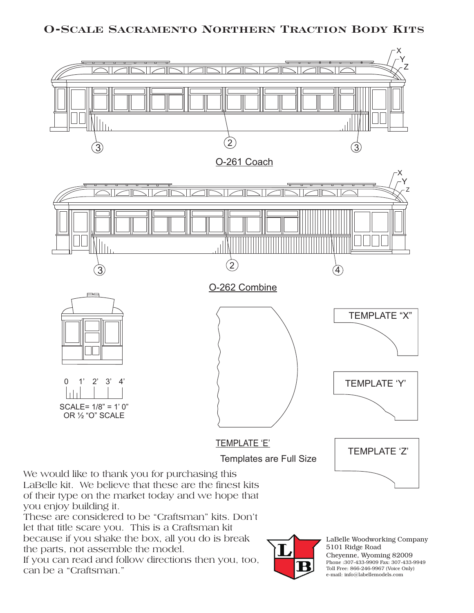## **O-Scale Sacramento Northern Traction Body Kits**



LaBelle kit. We believe that these are the finest kits of their type on the market today and we hope that you enjoy building it.

These are considered to be "Craftsman" kits. Don't let that title scare you. This is a Craftsman kit because if you shake the box, all you do is break the parts, not assemble the model.

If you can read and follow directions then you, too, can be a "Craftsman."



LaBelle Woodworking Company 5101 Ridge Road Cheyenne, Wyoming 82009 Phone :307-433-9909 Fax: 307-433-9949 Toll Free: 866-246-9967 (Voice Only) e-mail: info@labellemodels.com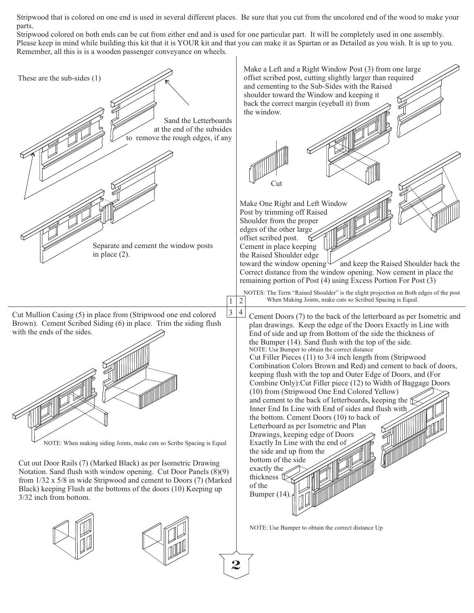Stripwood that is colored on one end is used in several different places. Be sure that you cut from the uncolored end of the wood to make your parts.

Stripwood colored on both ends can be cut from either end and is used for one particular part. It will be completely used in one assembly. Please keep in mind while building this kit that it is YOUR kit and that you can make it as Spartan or as Detailed as you wish. It is up to you. Remember, all this is is a wooden passenger conveyance on wheels.



**2**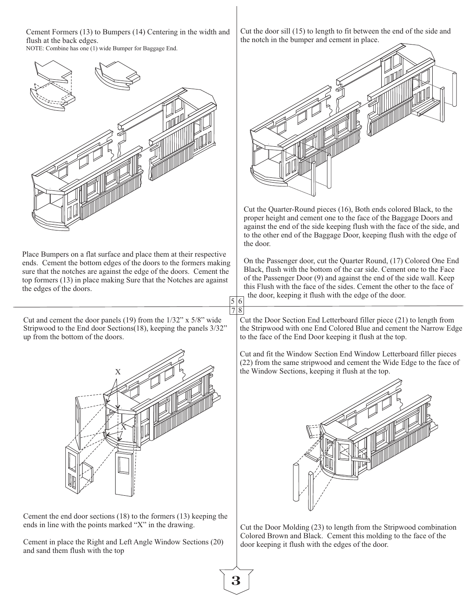Cement Formers (13) to Bumpers (14) Centering in the width and flush at the back edges. NOTE: Combine has one (1) wide Bumper for Baggage End.

Place Bumpers on a flat surface and place them at their respective ends. Cement the bottom edges of the doors to the formers making sure that the notches are against the edge of the doors. Cement the top formers (13) in place making Sure that the Notches are against the edges of the doors.

Cut and cement the door panels (19) from the 1/32" x 5/8" wide Stripwood to the End door Sections(18), keeping the panels 3/32" up from the bottom of the doors.



Cement the end door sections (18) to the formers (13) keeping the ends in line with the points marked "X" in the drawing.

Cement in place the Right and Left Angle Window Sections (20) and sand them flush with the top

Cut the door sill (15) to length to fit between the end of the side and the notch in the bumper and cement in place.



Cut the Quarter-Round pieces (16), Both ends colored Black, to the proper height and cement one to the face of the Baggage Doors and against the end of the side keeping flush with the face of the side, and to the other end of the Baggage Door, keeping flush with the edge of the door.

On the Passenger door, cut the Quarter Round, (17) Colored One End Black, flush with the bottom of the car side. Cement one to the Face of the Passenger Door (9) and against the end of the side wall. Keep this Flush with the face of the sides. Cement the other to the face of the door, keeping it flush with the edge of the door.

Cut the Door Section End Letterboard filler piece (21) to length from the Stripwood with one End Colored Blue and cement the Narrow Edge to the face of the End Door keeping it flush at the top.

Cut and fit the Window Section End Window Letterboard filler pieces (22) from the same stripwood and cement the Wide Edge to the face of the Window Sections, keeping it flush at the top.



Cut the Door Molding (23) to length from the Stripwood combination Colored Brown and Black. Cement this molding to the face of the door keeping it flush with the edges of the door.

7

 $5|6$ 8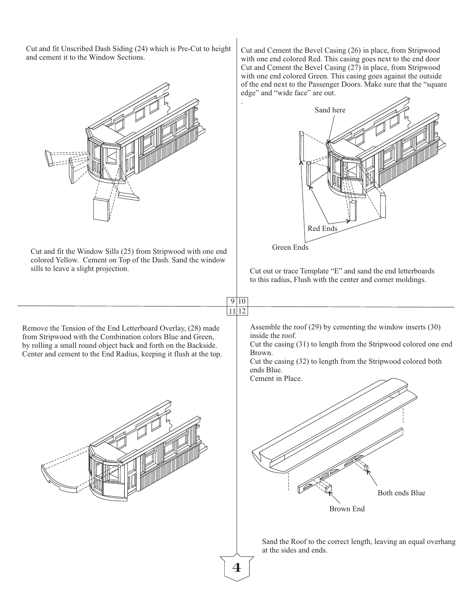Cut and fit Unscribed Dash Siding (24) which is Pre-Cut to height and cement it to the Window Sections.



Cut and fit the Window Sills (25) from Stripwood with one end colored Yellow. Cement on Top of the Dash. Sand the window sills to leave a slight projection.

Cut and Cement the Bevel Casing (26) in place, from Stripwood with one end colored Red. This casing goes next to the end door Cut and Cement the Bevel Casing (27) in place, from Stripwood with one end colored Green. This casing goes against the outside of the end next to the Passenger Doors. Make sure that the "square edge" and "wide face" are out.





Cut out or trace Template "E" and sand the end letterboards to this radius, Flush with the center and corner moldings.

Remove the Tension of the End Letterboard Overlay, (28) made from Stripwood with the Combination colors Blue and Green, by rolling a small round object back and forth on the Backside. Center and cement to the End Radius, keeping it flush at the top. Assemble the roof (29) by cementing the window inserts (30) inside the roof.

Cut the casing (31) to length from the Stripwood colored one end Brown.

Cut the casing (32) to length from the Stripwood colored both ends Blue. Cement in Place.

Brown End Both ends Blue

Sand the Roof to the correct length, leaving an equal overhang at the sides and ends.



 $9|10$ 11 12

.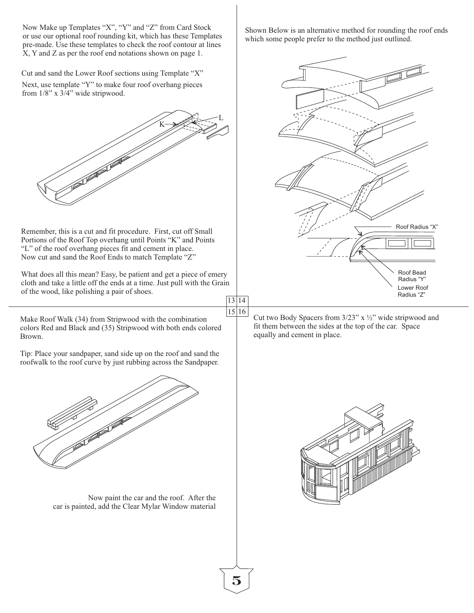Now Make up Templates "X", "Y" and "Z" from Card Stock or use our optional roof rounding kit, which has these Templates pre-made. Use these templates to check the roof contour at lines X, Y and Z as per the roof end notations shown on page 1.

Cut and sand the Lower Roof sections using Template "X"

Next, use template "Y" to make four roof overhang pieces from 1/8" x 3/4" wide stripwood.



Remember, this is a cut and fit procedure. First, cut off Small Portions of the Roof Top overhang until Points "K" and Points "L" of the roof overhang pieces fit and cement in place. Now cut and sand the Roof Ends to match Template "Z"

What does all this mean? Easy, be patient and get a piece of emery cloth and take a little off the ends at a time. Just pull with the Grain of the wood, like polishing a pair of shoes.

Make Roof Walk (34) from Stripwood with the combination colors Red and Black and (35) Stripwood with both ends colored Brown.

Tip: Place your sandpaper, sand side up on the roof and sand the roofwalk to the roof curve by just rubbing across the Sandpaper.



Now paint the car and the roof. After the car is painted, add the Clear Mylar Window material Shown Below is an alternative method for rounding the roof ends which some people prefer to the method just outlined.



13 14 15 16

Cut two Body Spacers from 3/23" x ½" wide stripwood and fit them between the sides at the top of the car. Space equally and cement in place.